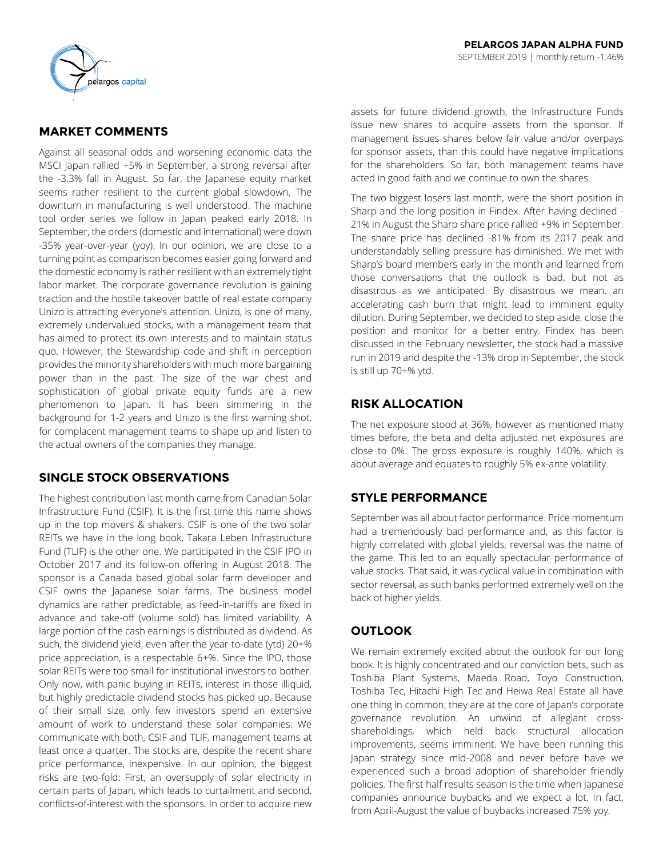

# **MARKET COMMENTS**

Against all seasonal odds and worsening economic data the MSCI Japan rallied +5% in September, a strong reversal after the -3.3% fall in August. So far, the Japanese equity market seems rather resilient to the current global slowdown. The downturn in manufacturing is well understood. The machine tool order series we follow in Japan peaked early 2018. In September, the orders (domestic and international) were down -35% year-over-year (yoy). In our opinion, we are close to a turning point as comparison becomes easier going forward and the domestic economy is rather resilient with an extremely tight labor market. The corporate governance revolution is gaining traction and the hostile takeover battle of real estate company Unizo is attracting everyone's attention. Unizo, is one of many, extremely undervalued stocks, with a management team that has aimed to protect its own interests and to maintain status quo. However, the Stewardship code and shift in perception provides the minority shareholders with much more bargaining power than in the past. The size of the war chest and sophistication of global private equity funds are a new phenomenon to Japan. It has been simmering in the background for 1-2 years and Unizo is the first warning shot, for complacent management teams to shape up and listen to the actual owners of the companies they manage.

## **SINGLE STOCK OBSERVATIONS**

The highest contribution last month came from Canadian Solar Infrastructure Fund (CSIF). It is the first time this name shows up in the top movers & shakers. CSIF is one of the two solar REITs we have in the long book, Takara Leben Infrastructure Fund (TLIF) is the other one. We participated in the CSIF IPO in October 2017 and its follow-on offering in August 2018. The sponsor is a Canada based global solar farm developer and CSIF owns the Japanese solar farms. The business model dynamics are rather predictable, as feed-in-tariffs are fixed in advance and take-off (volume sold) has limited variability. A large portion of the cash earnings is distributed as dividend. As such, the dividend yield, even after the year-to-date (ytd) 20+% price appreciation, is a respectable 6+%. Since the IPO, those solar REITs were too small for institutional investors to bother. Only now, with panic buying in REITs, interest in those illiquid, but highly predictable dividend stocks has picked up. Because of their small size, only few investors spend an extensive amount of work to understand these solar companies. We communicate with both, CSIF and TLIF, management teams at least once a quarter. The stocks are, despite the recent share price performance, inexpensive. In our opinion, the biggest risks are two-fold: First, an oversupply of solar electricity in certain parts of Japan, which leads to curtailment and second, conflicts-of-interest with the sponsors. In order to acquire new assets for future dividend growth, the Infrastructure Funds issue new shares to acquire assets from the sponsor. If management issues shares below fair value and/or overpays for sponsor assets, than this could have negative implications for the shareholders. So far, both management teams have acted in good faith and we continue to own the shares.

The two biggest losers last month, were the short position in Sharp and the long position in Findex. After having declined - 21% in August the Sharp share price rallied +9% in September. The share price has declined -81% from its 2017 peak and understandably selling pressure has diminished. We met with Sharp's board members early in the month and learned from those conversations that the outlook is bad, but not as disastrous as we anticipated. By disastrous we mean, an accelerating cash burn that might lead to imminent equity dilution. During September, we decided to step aside, close the position and monitor for a better entry. Findex has been discussed in the February newsletter, the stock had a massive run in 2019 and despite the -13% drop in September, the stock is still up 70+% ytd.

## **RISK ALLOCATION**

The net exposure stood at 36%, however as mentioned many times before, the beta and delta adjusted net exposures are close to 0%. The gross exposure is roughly 140%, which is about average and equates to roughly 5% ex-ante volatility.

## **STYLE PERFORMANCE**

September was all about factor performance. Price momentum had a tremendously bad performance and, as this factor is highly correlated with global yields, reversal was the name of the game. This led to an equally spectacular performance of value stocks. That said, it was cyclical value in combination with sector reversal, as such banks performed extremely well on the back of higher yields.

## **OUTLOOK**

We remain extremely excited about the outlook for our long book. It is highly concentrated and our conviction bets, such as Toshiba Plant Systems, Maeda Road, Toyo Construction, Toshiba Tec, Hitachi High Tec and Heiwa Real Estate all have one thing in common; they are at the core of Japan's corporate governance revolution. An unwind of allegiant crossshareholdings, which held back structural allocation improvements, seems imminent. We have been running this Japan strategy since mid-2008 and never before have we experienced such a broad adoption of shareholder friendly policies. The first half results season is the time when Japanese companies announce buybacks and we expect a lot. In fact, from April-August the value of buybacks increased 75% yoy.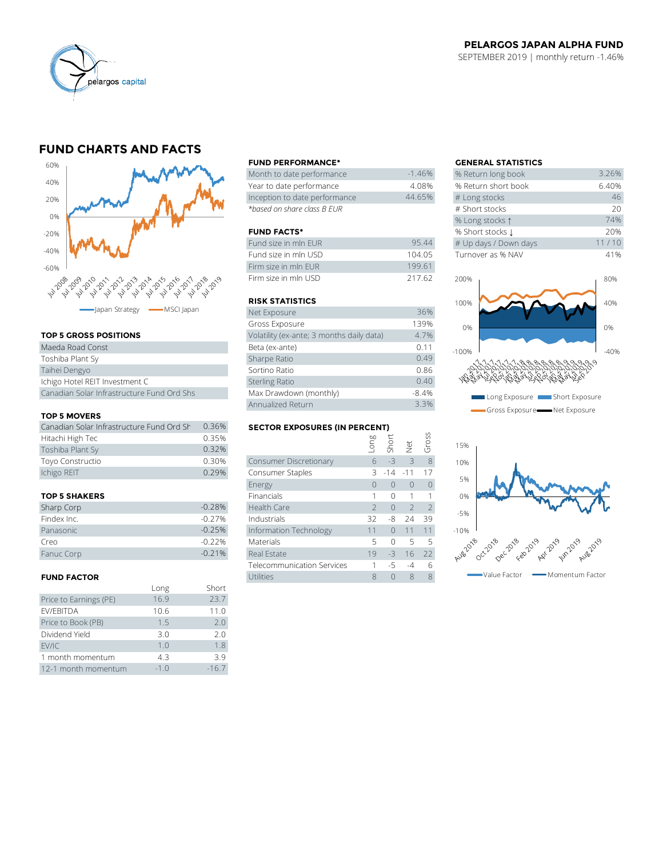

### **PELARGOS JAPAN ALPHA FUND** SEPTEMBER 2019 | monthly return -1.46%

# **FUND CHARTS AND FACTS**



### **TOP 5 GROSS POSITIONS**

| Maeda Road Const                           | Beta (ex-ante)         |
|--------------------------------------------|------------------------|
| Toshiba Plant Sy                           | Sharpe Ratio           |
| Taihei Dengyo                              | Sortino Ratio          |
| Ichigo Hotel REIT Investment C             | <b>Sterling Ratio</b>  |
| Canadian Solar Infrastructure Fund Ord Shs | Max Drawdown (monthly) |

#### **TOP 5 MOVERS**

| Canadian Solar Infrastructure Fund Ord Sh | 0.36% |
|-------------------------------------------|-------|
| Hitachi High Tec                          | 0.35% |
| Toshiba Plant Sy                          | 0.32% |
| Toyo Constructio                          | 0.30% |
| Ichigo REIT                               | 0.29% |

#### **TOP 5 SHAKERS**

| Sharp Corp  | $-0.28%$ |
|-------------|----------|
| Findex Inc. | $-0.27%$ |
| Panasonic   | $-0.25%$ |
| Creo        | $-0.22%$ |
| Fanuc Corp  | $-0.21%$ |

#### **FUND FACTOR**

|                        | Long   | Short   |
|------------------------|--------|---------|
| Price to Earnings (PE) | 16.9   | 23.7    |
| EV/EBITDA              | 10.6   | 11.0    |
| Price to Book (PB)     | 1.5    | 7.0     |
| Dividend Yield         | 3.0    | 2.0     |
| EV/IC                  | 1.0    | 1.8     |
| 1 month momentum       | 4.3    | 3.9     |
| 12-1 month momentum    | $-1.0$ | $-16.7$ |

#### **FUND PERFORMANCE\* GENERAL STATISTICS**

| Month to date performance     | $-1.46\%$ | % Return long book  |
|-------------------------------|-----------|---------------------|
| Year to date performance      | 4.08%     | % Return short book |
| Inception to date performance | 44.65%    | # Long stocks       |
| *based on share class B EUR   |           | # Short stocks      |

#### **FUND FACTS\***

| Fund size in mln EUR | 95.44  | # Up days / Down days |
|----------------------|--------|-----------------------|
| Fund size in mln USD | 104 05 | Turnover as % NAV     |
| Firm size in mln FUR | 199.61 |                       |
| Firm size in mln USD | 217.62 | 200%                  |

#### **RISK STATISTICS**

| Net Exposure                              | 36%     |
|-------------------------------------------|---------|
| Gross Exposure                            | 139%    |
| Volatility (ex-ante; 3 months daily data) | 4.7%    |
| Beta (ex-ante)                            | 0.11    |
| Sharpe Ratio                              | 0.49    |
| Sortino Ratio                             | 0.86    |
| <b>Sterling Ratio</b>                     | 0.40    |
| Max Drawdown (monthly)                    | $-8.4%$ |
| Annualized Return                         | 3.3%    |

### **SECTOR EXPOSURES (IN PERCENT)**

|                                           |          | Annualized Return                    |               |                |                | 3.3%           |
|-------------------------------------------|----------|--------------------------------------|---------------|----------------|----------------|----------------|
| <b>TOP 5 MOVERS</b>                       |          |                                      |               |                |                |                |
| Canadian Solar Infrastructure Fund Ord Sh | 0.36%    | <b>SECTOR EXPOSURES (IN PERCENT)</b> |               |                |                |                |
| Hitachi High Tec                          | 0.35%    |                                      | suo-          | Short          |                | Gross          |
| Toshiba Plant Sy                          | 0.32%    |                                      |               |                | $\frac{1}{2}$  |                |
| Toyo Constructio                          | 0.30%    | Consumer Discretionary               | 6             | $-3$           | $\overline{3}$ | 8              |
| Ichigo REIT                               | 0.29%    | Consumer Staples                     | 3             | $-14$          | $-11$          | 17             |
|                                           |          | Energy                               | $\Omega$      | $\Omega$       | $\overline{0}$ | $\overline{0}$ |
| <b>TOP 5 SHAKERS</b>                      |          | Financials                           |               | $\Omega$       |                |                |
| Sharp Corp                                | $-0.28%$ | Health Care                          | $\mathcal{P}$ | $\overline{0}$ | $\overline{2}$ | $\overline{2}$ |
| Findex Inc.                               | $-0.27%$ | Industrials                          | 32            | -8             | 24             | 39             |
| Panasonic                                 | $-0.25%$ | Information Technology               | 11            | $\Omega$       | 11             | 11             |
| Creo                                      | $-0.22%$ | <b>Materials</b>                     | 5             | $\Omega$       | 5              | 5              |
| Fanuc Corp                                | $-0.21%$ | Real Estate                          | 19            | $-3$           | 16             | 22             |
|                                           |          | <b>Telecommunication Services</b>    |               | $-5$           | $-4$           | 6              |
| <b>FUND FACTOR</b>                        |          | Utilities                            | 8             | 0              | 8              | 8              |

| <b>GENERAL STATISTICS</b> |       |
|---------------------------|-------|
| % Return long book        | 3.26% |
| % Return short book       | 6.40% |
| # Long stocks             | 46    |
| # Short stocks            | 20    |
| % Long stocks 1           | 74%   |
| % Short stocks L          | 20%   |
| # Up days / Down days     | 11/10 |
| Turnover as % NAV         | 41%   |